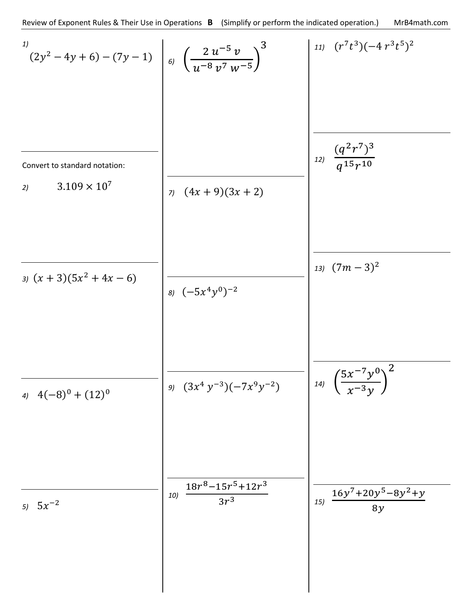$$
\begin{array}{c|c|c|c|c|c} \n\hline\n^{(1)} & (2y^2 - 4y + 6) - (7y - 1) & & & & & & \\
 & & & & -7y + 1 & & & \\
 & & & & & & \\
\hline\n2y^2 - 4y + 6 & & & & & \\
 & & & & & & \\
\hline\n2y^2 - 11y + 7 & & & & \\
\hline\n2y^2 - 11y + 7 & & & & \\
\hline\n\end{array}
$$
\n
$$
\begin{array}{c|c|c|c|c} \n\hline\n & & & & & \\
\hline\n & & & & & \\
\hline\n & & & & & \\
\hline\n\end{array}
$$
\n
$$
\begin{array}{c|c|c|c|c} \n\hline\n & & & & \\
\hline\n & & & & & \\
\hline\n & & & & & \\
\hline\n\end{array}
$$
\n
$$
\begin{array}{c|c|c|c|c} \n\hline\n & & & & \\
\hline\n & & & & & \\
\hline\n & & & & & \\
\hline\n & & & & & \\
\hline\n & & & & & \\
\hline\n & & & & & \\
\hline\n & & & & & \\
\hline\n & & & & & \\
\hline\n & & & & & \\
\hline\n & & & & & \\
\hline\n & & & & & \\
\hline\n & & & & & \\
\hline\n & & & & & \\
\hline\n & & & & & \\
\hline\n & & & & & \\
\hline\n & & & & & \\
\hline\n & & & & & & \\
\hline\n & & & & & & \\
\hline\n &
$$

 $\overline{\phantom{a}}$